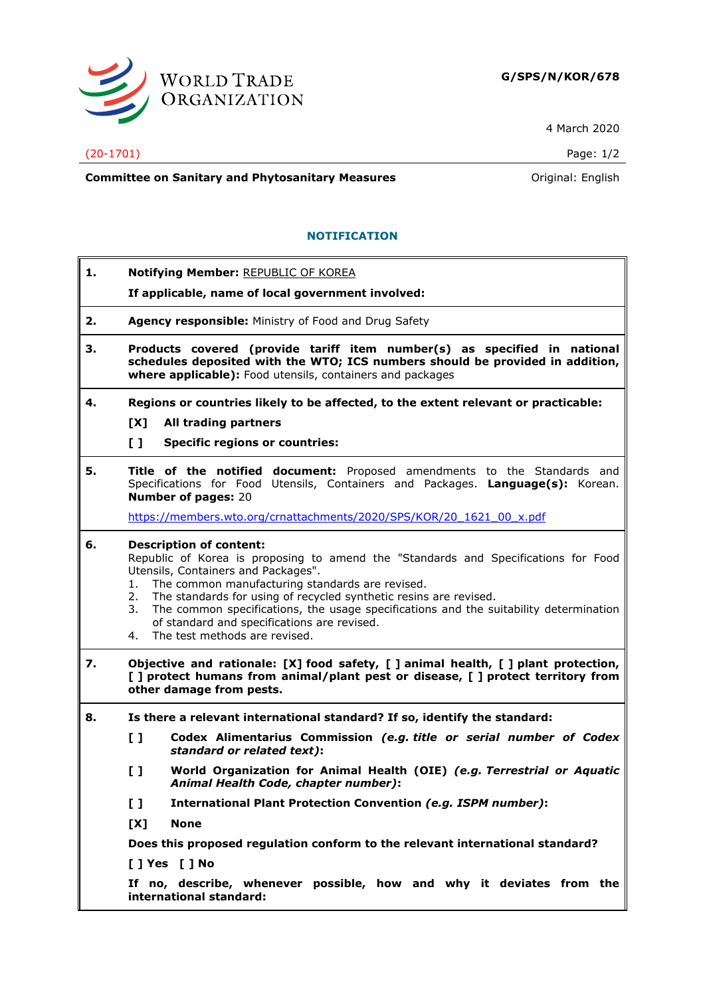

4 March 2020

## (20-1701) Page: 1/2

**Committee on Sanitary and Phytosanitary Measures Committee on Sanitary and Phytosanitary Measures Committee on Sanitary and Phytosanitary Measures** 

## **NOTIFICATION**

| 1. |                                                                                                                                                                                                                                                                                                                                                                                                                                                                                      | Notifying Member: REPUBLIC OF KOREA<br>If applicable, name of local government involved:                                                                                                  |  |
|----|--------------------------------------------------------------------------------------------------------------------------------------------------------------------------------------------------------------------------------------------------------------------------------------------------------------------------------------------------------------------------------------------------------------------------------------------------------------------------------------|-------------------------------------------------------------------------------------------------------------------------------------------------------------------------------------------|--|
| 2. | Agency responsible: Ministry of Food and Drug Safety                                                                                                                                                                                                                                                                                                                                                                                                                                 |                                                                                                                                                                                           |  |
| з. | Products covered (provide tariff item number(s) as specified in national<br>schedules deposited with the WTO; ICS numbers should be provided in addition,<br>where applicable): Food utensils, containers and packages                                                                                                                                                                                                                                                               |                                                                                                                                                                                           |  |
| 4. | Regions or countries likely to be affected, to the extent relevant or practicable:                                                                                                                                                                                                                                                                                                                                                                                                   |                                                                                                                                                                                           |  |
|    | [X]                                                                                                                                                                                                                                                                                                                                                                                                                                                                                  | All trading partners                                                                                                                                                                      |  |
|    | $\mathbf{I}$                                                                                                                                                                                                                                                                                                                                                                                                                                                                         | <b>Specific regions or countries:</b>                                                                                                                                                     |  |
| 5. |                                                                                                                                                                                                                                                                                                                                                                                                                                                                                      | Title of the notified document: Proposed amendments to the Standards and<br>Specifications for Food Utensils, Containers and Packages. Language(s): Korean.<br><b>Number of pages: 20</b> |  |
|    |                                                                                                                                                                                                                                                                                                                                                                                                                                                                                      | https://members.wto.org/crnattachments/2020/SPS/KOR/20 1621 00 x.pdf                                                                                                                      |  |
| 6. | <b>Description of content:</b><br>Republic of Korea is proposing to amend the "Standards and Specifications for Food<br>Utensils, Containers and Packages".<br>The common manufacturing standards are revised.<br>1.<br>The standards for using of recycled synthetic resins are revised.<br>2.<br>The common specifications, the usage specifications and the suitability determination<br>3.<br>of standard and specifications are revised.<br>The test methods are revised.<br>4. |                                                                                                                                                                                           |  |
| 7. | Objective and rationale: [X] food safety, [ ] animal health, [ ] plant protection,<br>[ ] protect humans from animal/plant pest or disease, [ ] protect territory from<br>other damage from pests.                                                                                                                                                                                                                                                                                   |                                                                                                                                                                                           |  |
| 8. | Is there a relevant international standard? If so, identify the standard:                                                                                                                                                                                                                                                                                                                                                                                                            |                                                                                                                                                                                           |  |
|    | $\begin{smallmatrix} 1 \end{smallmatrix}$                                                                                                                                                                                                                                                                                                                                                                                                                                            | Codex Alimentarius Commission (e.g. title or serial number of Codex<br>standard or related text):                                                                                         |  |
|    | $\mathbf{L}$                                                                                                                                                                                                                                                                                                                                                                                                                                                                         | World Organization for Animal Health (OIE) (e.g. Terrestrial or Aquatic<br>Animal Health Code, chapter number):                                                                           |  |
|    | $\mathbf{L}$                                                                                                                                                                                                                                                                                                                                                                                                                                                                         | International Plant Protection Convention (e.g. ISPM number):                                                                                                                             |  |
|    | [X]                                                                                                                                                                                                                                                                                                                                                                                                                                                                                  | <b>None</b>                                                                                                                                                                               |  |
|    | Does this proposed regulation conform to the relevant international standard?                                                                                                                                                                                                                                                                                                                                                                                                        |                                                                                                                                                                                           |  |
|    |                                                                                                                                                                                                                                                                                                                                                                                                                                                                                      | [ ] Yes [ ] No                                                                                                                                                                            |  |
|    |                                                                                                                                                                                                                                                                                                                                                                                                                                                                                      | If no, describe, whenever possible, how and why it deviates from the<br>international standard:                                                                                           |  |